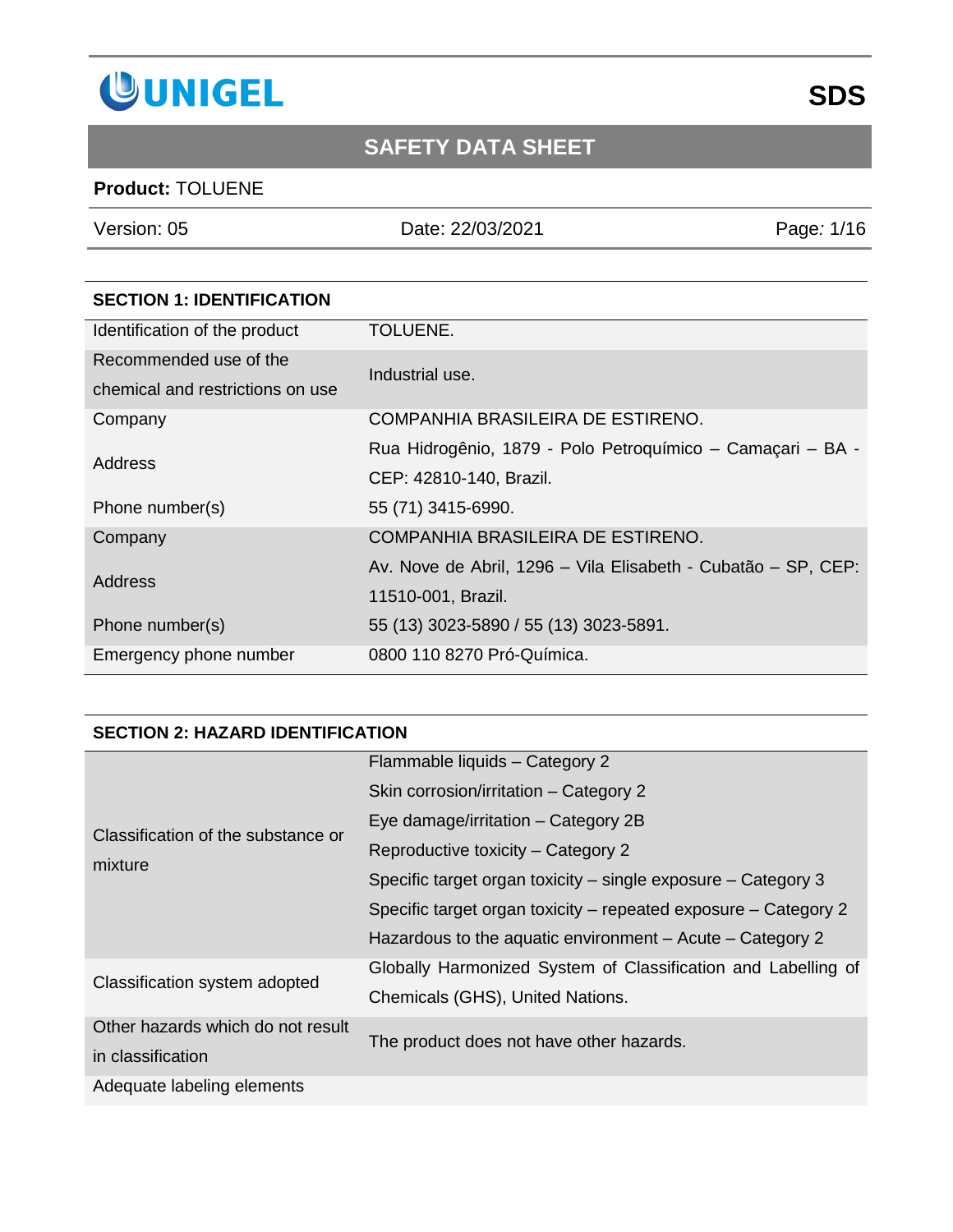

### **Product:** TOLUENE

Version: 05 Date: 22/03/2021 Page*:* 1/16

| <b>SECTION 1: IDENTIFICATION</b> |                                                               |  |
|----------------------------------|---------------------------------------------------------------|--|
| Identification of the product    | TOLUENE.                                                      |  |
| Recommended use of the           | Industrial use.                                               |  |
| chemical and restrictions on use |                                                               |  |
| Company                          | COMPANHIA BRASILEIRA DE ESTIRENO.                             |  |
| Address                          | Rua Hidrogênio, 1879 - Polo Petroquímico - Camaçari - BA -    |  |
|                                  | CEP: 42810-140, Brazil.                                       |  |
| Phone number(s)                  | 55 (71) 3415-6990.                                            |  |
| Company                          | COMPANHIA BRASILEIRA DE ESTIRENO.                             |  |
| Address                          | Av. Nove de Abril, 1296 – Vila Elisabeth - Cubatão – SP, CEP: |  |
|                                  | 11510-001, Brazil.                                            |  |
| Phone number(s)                  | 55 (13) 3023-5890 / 55 (13) 3023-5891.                        |  |
| Emergency phone number           | 0800 110 8270 Pró-Química.                                    |  |

#### **SECTION 2: HAZARD IDENTIFICATION**

| Classification of the substance or | Flammable liquids - Category 2                                  |
|------------------------------------|-----------------------------------------------------------------|
|                                    | Skin corrosion/irritation - Category 2                          |
|                                    | Eye damage/irritation – Category 2B                             |
|                                    | Reproductive toxicity – Category 2                              |
| mixture                            | Specific target organ toxicity – single exposure – Category 3   |
|                                    | Specific target organ toxicity – repeated exposure – Category 2 |
|                                    | Hazardous to the aquatic environment $-$ Acute $-$ Category 2   |
| Classification system adopted      | Globally Harmonized System of Classification and Labelling of   |
|                                    | Chemicals (GHS), United Nations.                                |
| Other hazards which do not result  | The product does not have other hazards.                        |
| in classification                  |                                                                 |
| Adequate labeling elements         |                                                                 |

# **SDS**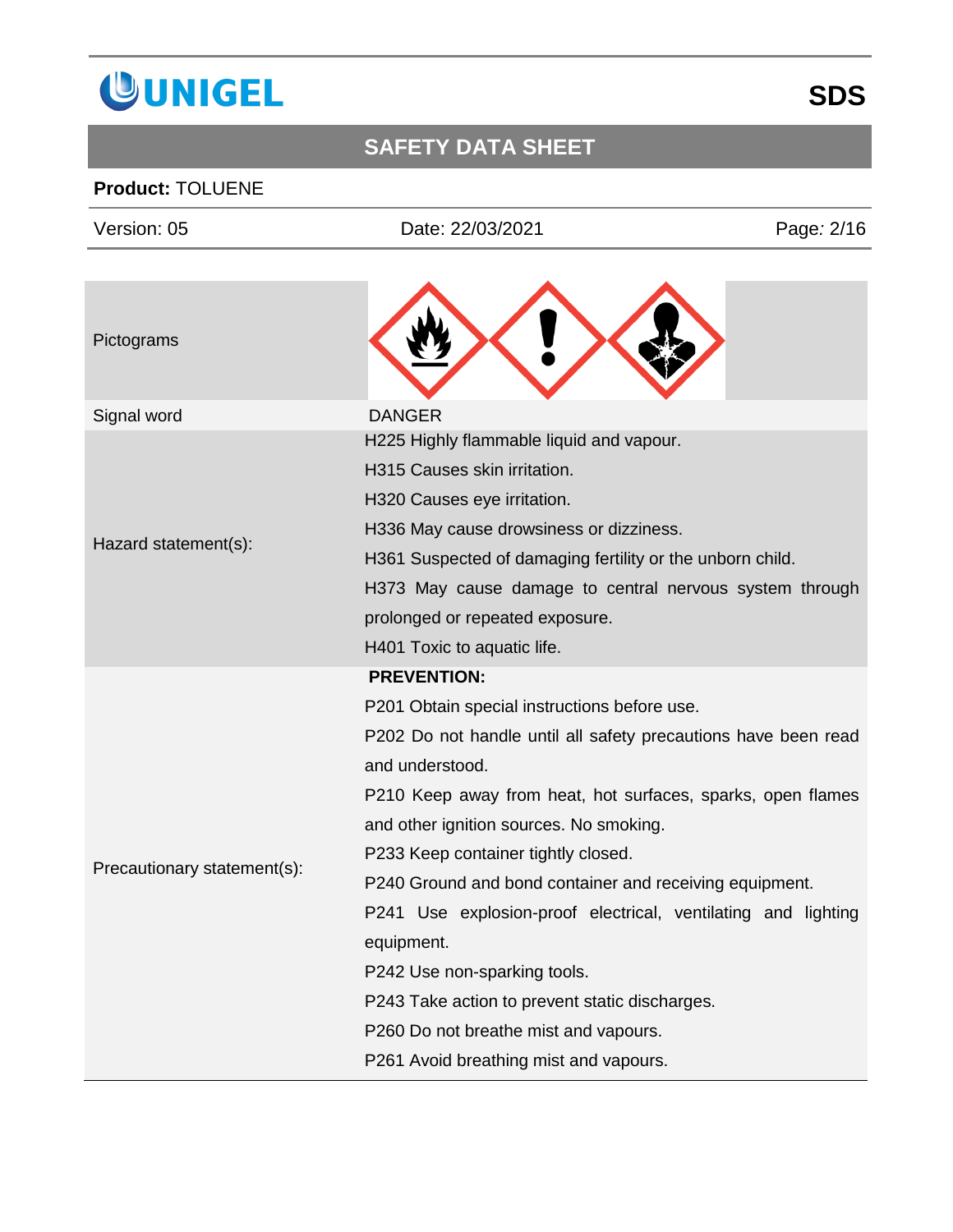

### **Product:** TOLUENE

| Version: 05                 | Date: 22/03/2021                                                                                                                                                                                                                                                                                                                                                                                                                                                                                                                     | Page: 2/16 |
|-----------------------------|--------------------------------------------------------------------------------------------------------------------------------------------------------------------------------------------------------------------------------------------------------------------------------------------------------------------------------------------------------------------------------------------------------------------------------------------------------------------------------------------------------------------------------------|------------|
| Pictograms                  |                                                                                                                                                                                                                                                                                                                                                                                                                                                                                                                                      |            |
| Signal word                 | <b>DANGER</b>                                                                                                                                                                                                                                                                                                                                                                                                                                                                                                                        |            |
| Hazard statement(s):        | H225 Highly flammable liquid and vapour.<br>H315 Causes skin irritation.<br>H320 Causes eye irritation.<br>H336 May cause drowsiness or dizziness.<br>H361 Suspected of damaging fertility or the unborn child.<br>H373 May cause damage to central nervous system through<br>prolonged or repeated exposure.<br>H401 Toxic to aquatic life.                                                                                                                                                                                         |            |
| Precautionary statement(s): | <b>PREVENTION:</b><br>P201 Obtain special instructions before use.<br>P202 Do not handle until all safety precautions have been read<br>and understood.<br>P210 Keep away from heat, hot surfaces, sparks, open flames<br>and other ignition sources. No smoking.<br>P233 Keep container tightly closed.<br>P240 Ground and bond container and receiving equipment.<br>P241 Use explosion-proof electrical, ventilating and lighting<br>equipment.<br>P242 Use non-sparking tools.<br>P243 Take action to prevent static discharges. |            |

P260 Do not breathe mist and vapours.

P261 Avoid breathing mist and vapours.

# **SDS**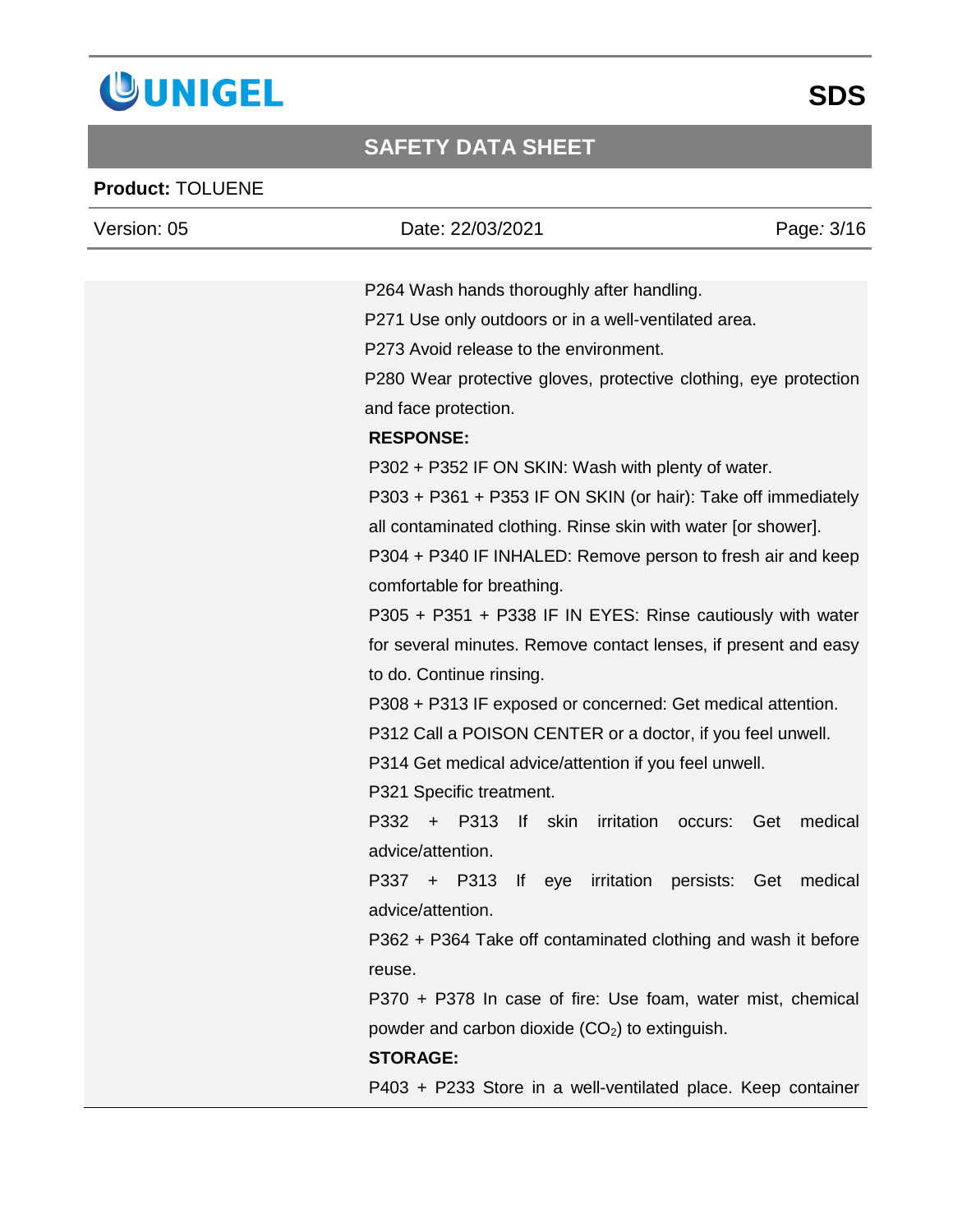

### **Product:** TOLUENE

| Version: 05 | Date: 22/03/2021                                                 | Page: 3/16     |
|-------------|------------------------------------------------------------------|----------------|
|             |                                                                  |                |
|             | P264 Wash hands thoroughly after handling.                       |                |
|             | P271 Use only outdoors or in a well-ventilated area.             |                |
|             | P273 Avoid release to the environment.                           |                |
|             | P280 Wear protective gloves, protective clothing, eye protection |                |
|             | and face protection.                                             |                |
|             | <b>RESPONSE:</b>                                                 |                |
|             | P302 + P352 IF ON SKIN: Wash with plenty of water.               |                |
|             | P303 + P361 + P353 IF ON SKIN (or hair): Take off immediately    |                |
|             | all contaminated clothing. Rinse skin with water [or shower].    |                |
|             | P304 + P340 IF INHALED: Remove person to fresh air and keep      |                |
|             | comfortable for breathing.                                       |                |
|             | P305 + P351 + P338 IF IN EYES: Rinse cautiously with water       |                |
|             | for several minutes. Remove contact lenses, if present and easy  |                |
|             | to do. Continue rinsing.                                         |                |
|             | P308 + P313 IF exposed or concerned: Get medical attention.      |                |
|             | P312 Call a POISON CENTER or a doctor, if you feel unwell.       |                |
|             | P314 Get medical advice/attention if you feel unwell.            |                |
|             | P321 Specific treatment.                                         |                |
|             | P332 + P313<br>If skin<br>irritation<br>occurs:                  | medical<br>Get |
|             | advice/attention.                                                |                |
|             | P337 + P313<br>persists:<br>irritation<br>$\mathsf{If}$<br>eye   | Get<br>medical |
|             | advice/attention                                                 |                |
|             | P362 + P364 Take off contaminated clothing and wash it before    |                |
|             | reuse.                                                           |                |
|             | P370 + P378 In case of fire: Use foam, water mist, chemical      |                |
|             | powder and carbon dioxide (CO <sub>2</sub> ) to extinguish.      |                |
|             | <b>STORAGE:</b>                                                  |                |
|             |                                                                  |                |
|             | P403 + P233 Store in a well-ventilated place. Keep container     |                |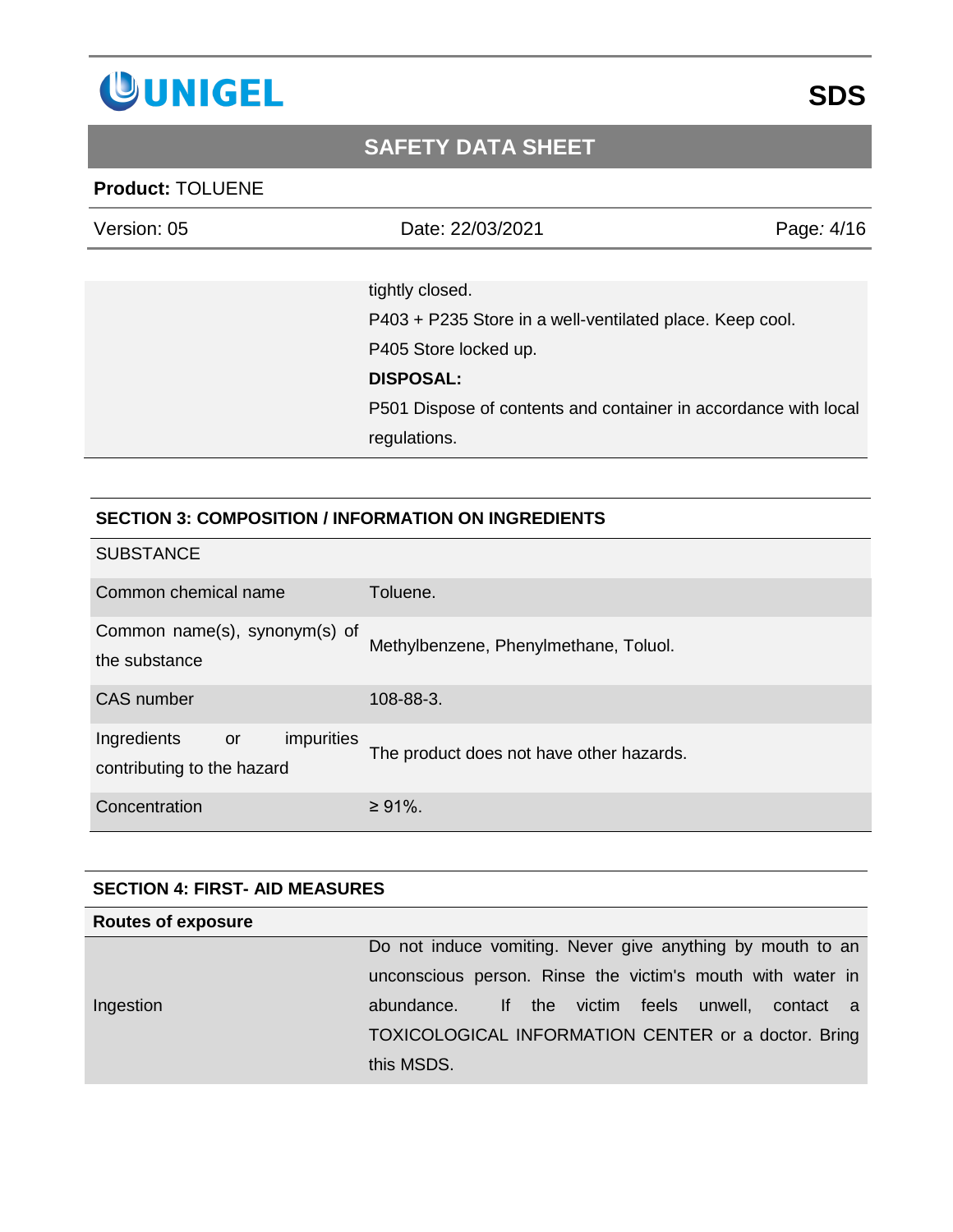

#### **Product:** TOLUENE

| Version: 05 | Date: 22/03/2021                                                | Page: 4/16 |
|-------------|-----------------------------------------------------------------|------------|
|             |                                                                 |            |
|             | tightly closed.                                                 |            |
|             | P403 + P235 Store in a well-ventilated place. Keep cool.        |            |
|             | P405 Store locked up.                                           |            |
|             | <b>DISPOSAL:</b>                                                |            |
|             | P501 Dispose of contents and container in accordance with local |            |
|             | regulations.                                                    |            |

#### **SECTION 3: COMPOSITION / INFORMATION ON INGREDIENTS**

| <b>SUBSTANCE</b>                                              |                                          |
|---------------------------------------------------------------|------------------------------------------|
| Common chemical name                                          | Toluene.                                 |
| Common name(s), synonym(s) of<br>the substance                | Methylbenzene, Phenylmethane, Toluol.    |
| <b>CAS</b> number                                             | 108-88-3.                                |
| Ingredients<br>impurities<br>or<br>contributing to the hazard | The product does not have other hazards. |
| Concentration                                                 | $\geq 91\%$ .                            |

#### **SECTION 4: FIRST- AID MEASURES**

| <b>Routes of exposure</b> |                                                            |
|---------------------------|------------------------------------------------------------|
|                           | Do not induce vomiting. Never give anything by mouth to an |
|                           | unconscious person. Rinse the victim's mouth with water in |
| Ingestion                 | the victim feels unwell,<br>lf.<br>contact a<br>abundance. |
|                           | TOXICOLOGICAL INFORMATION CENTER or a doctor. Bring        |
|                           | this MSDS.                                                 |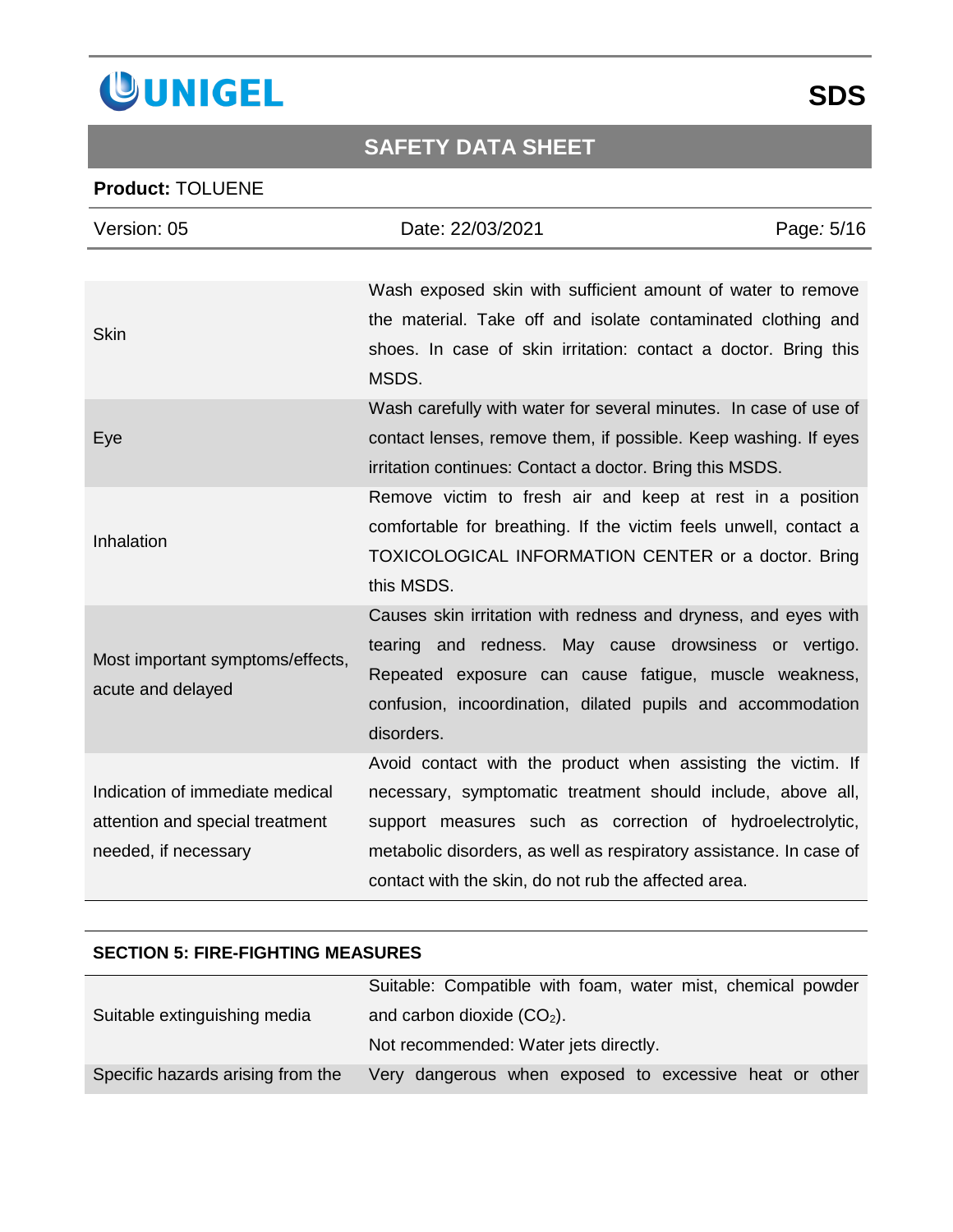

### **Product:** TOLUENE

| Version: 05                                                                                | Date: 22/03/2021                                                                                                                                                                                                                                                                                                       | Page: 5/16 |
|--------------------------------------------------------------------------------------------|------------------------------------------------------------------------------------------------------------------------------------------------------------------------------------------------------------------------------------------------------------------------------------------------------------------------|------------|
|                                                                                            |                                                                                                                                                                                                                                                                                                                        |            |
| <b>Skin</b>                                                                                | Wash exposed skin with sufficient amount of water to remove<br>the material. Take off and isolate contaminated clothing and<br>shoes. In case of skin irritation: contact a doctor. Bring this<br>MSDS.                                                                                                                |            |
| Eye                                                                                        | Wash carefully with water for several minutes. In case of use of<br>contact lenses, remove them, if possible. Keep washing. If eyes<br>irritation continues: Contact a doctor. Bring this MSDS.                                                                                                                        |            |
| Inhalation                                                                                 | Remove victim to fresh air and keep at rest in a position<br>comfortable for breathing. If the victim feels unwell, contact a<br>TOXICOLOGICAL INFORMATION CENTER or a doctor. Bring<br>this MSDS.                                                                                                                     |            |
| Most important symptoms/effects,<br>acute and delayed                                      | Causes skin irritation with redness and dryness, and eyes with<br>tearing and redness. May cause drowsiness or vertigo.<br>Repeated exposure can cause fatigue, muscle weakness,<br>confusion, incoordination, dilated pupils and accommodation<br>disorders.                                                          |            |
| Indication of immediate medical<br>attention and special treatment<br>needed, if necessary | Avoid contact with the product when assisting the victim. If<br>necessary, symptomatic treatment should include, above all,<br>support measures such as correction of hydroelectrolytic,<br>metabolic disorders, as well as respiratory assistance. In case of<br>contact with the skin, do not rub the affected area. |            |

### **SECTION 5: FIRE-FIGHTING MEASURES**

|                                   | Suitable: Compatible with foam, water mist, chemical powder |
|-----------------------------------|-------------------------------------------------------------|
| Suitable extinguishing media      | and carbon dioxide $(CO2)$ .                                |
|                                   | Not recommended: Water jets directly.                       |
| Specific hazards arising from the | Very dangerous when exposed to excessive heat or other      |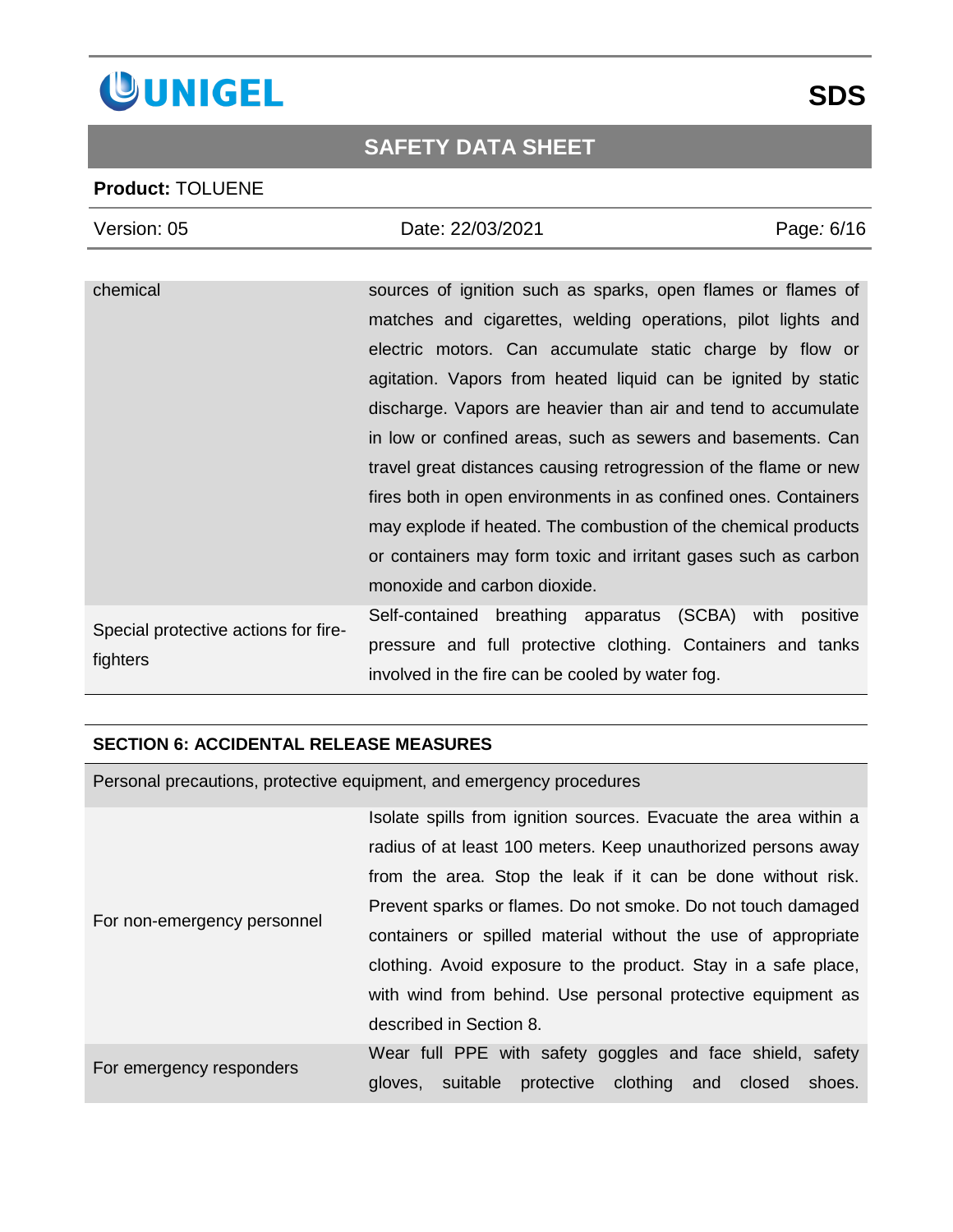

#### **Product:** TOLUENE

| Version: 05                                      | Date: 22/03/2021                                                 | Page: 6/16 |
|--------------------------------------------------|------------------------------------------------------------------|------------|
|                                                  |                                                                  |            |
| chemical                                         | sources of ignition such as sparks, open flames or flames of     |            |
|                                                  | matches and cigarettes, welding operations, pilot lights and     |            |
|                                                  | electric motors. Can accumulate static charge by flow or         |            |
|                                                  | agitation. Vapors from heated liquid can be ignited by static    |            |
|                                                  | discharge. Vapors are heavier than air and tend to accumulate    |            |
|                                                  | in low or confined areas, such as sewers and basements. Can      |            |
|                                                  | travel great distances causing retrogression of the flame or new |            |
|                                                  | fires both in open environments in as confined ones. Containers  |            |
|                                                  | may explode if heated. The combustion of the chemical products   |            |
|                                                  | or containers may form toxic and irritant gases such as carbon   |            |
|                                                  | monoxide and carbon dioxide.                                     |            |
| Special protective actions for fire-<br>fighters | Self-contained breathing apparatus (SCBA) with positive          |            |
|                                                  | pressure and full protective clothing. Containers and tanks      |            |
|                                                  | involved in the fire can be cooled by water fog.                 |            |
|                                                  |                                                                  |            |

#### **SECTION 6: ACCIDENTAL RELEASE MEASURES**

Personal precautions, protective equipment, and emergency procedures For non-emergency personnel Isolate spills from ignition sources. Evacuate the area within a radius of at least 100 meters. Keep unauthorized persons away from the area. Stop the leak if it can be done without risk. Prevent sparks or flames. Do not smoke. Do not touch damaged containers or spilled material without the use of appropriate clothing. Avoid exposure to the product. Stay in a safe place, with wind from behind. Use personal protective equipment as described in Section 8. For emergency responders Wear full PPE with safety goggles and face shield, safety gloves, suitable protective clothing and closed shoes.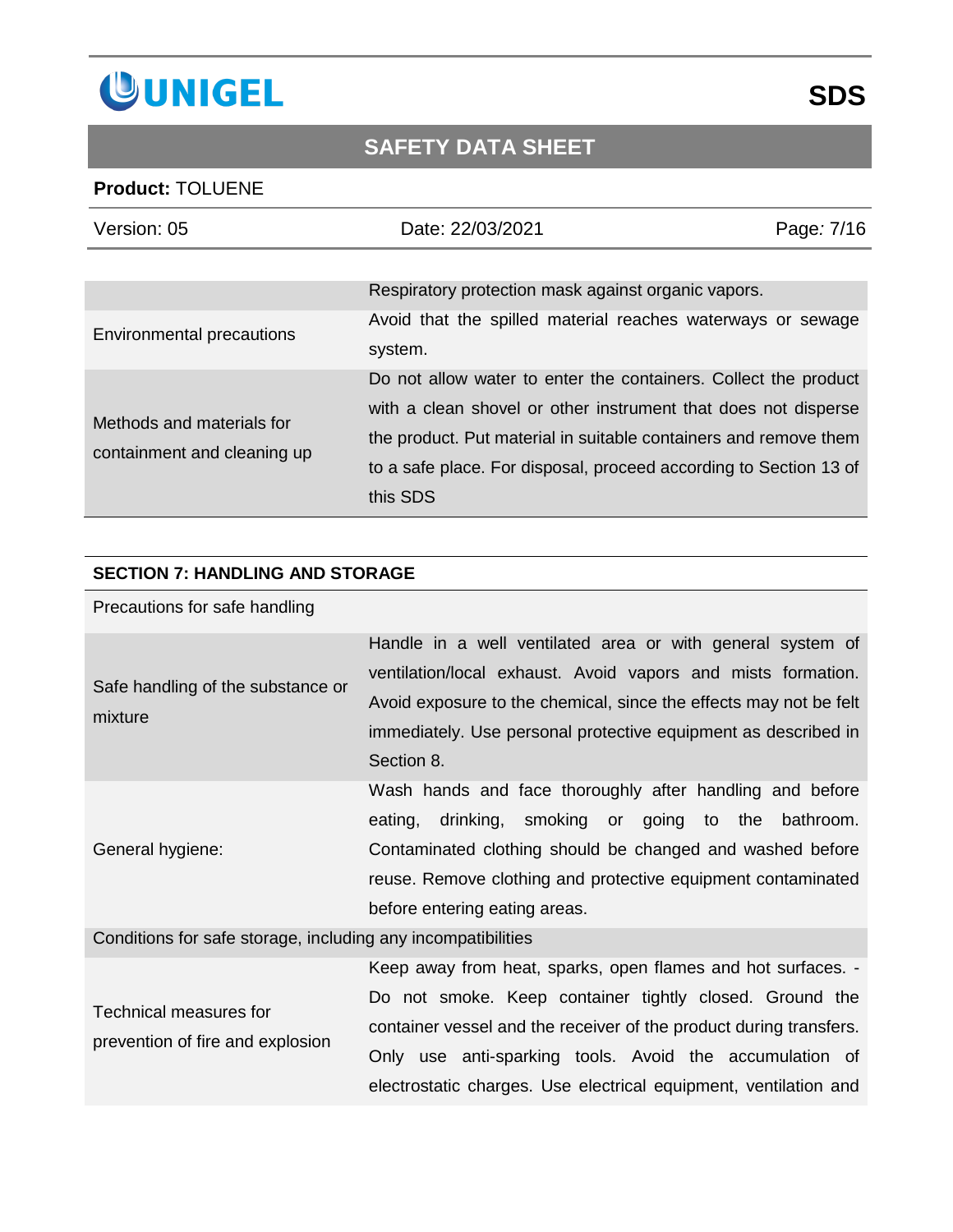

### **Product:** TOLUENE

| Version: 05                                              | Date: 22/03/2021                                                                                                                                                                                                                                                                       | Page: 7/16 |
|----------------------------------------------------------|----------------------------------------------------------------------------------------------------------------------------------------------------------------------------------------------------------------------------------------------------------------------------------------|------------|
|                                                          | Respiratory protection mask against organic vapors.                                                                                                                                                                                                                                    |            |
| <b>Environmental precautions</b>                         | Avoid that the spilled material reaches waterways or sewage<br>system.                                                                                                                                                                                                                 |            |
| Methods and materials for<br>containment and cleaning up | Do not allow water to enter the containers. Collect the product<br>with a clean shovel or other instrument that does not disperse<br>the product. Put material in suitable containers and remove them<br>to a safe place. For disposal, proceed according to Section 13 of<br>this SDS |            |

#### **SECTION 7: HANDLING AND STORAGE**

### Precautions for safe handling

| Safe handling of the substance or<br>mixture | Handle in a well ventilated area or with general system of<br>ventilation/local exhaust. Avoid vapors and mists formation.<br>Avoid exposure to the chemical, since the effects may not be felt<br>immediately. Use personal protective equipment as described in<br>Section 8.  |
|----------------------------------------------|----------------------------------------------------------------------------------------------------------------------------------------------------------------------------------------------------------------------------------------------------------------------------------|
| General hygiene:                             | Wash hands and face thoroughly after handling and before<br>drinking, smoking or going to the bathroom.<br>eating,<br>Contaminated clothing should be changed and washed before<br>reuse. Remove clothing and protective equipment contaminated<br>before entering eating areas. |

Conditions for safe storage, including any incompatibilities

|                                                            | Keep away from heat, sparks, open flames and hot surfaces. -       |
|------------------------------------------------------------|--------------------------------------------------------------------|
| Technical measures for<br>prevention of fire and explosion | Do not smoke. Keep container tightly closed. Ground the            |
|                                                            | container vessel and the receiver of the product during transfers. |
|                                                            | Only use anti-sparking tools. Avoid the accumulation of            |
|                                                            | electrostatic charges. Use electrical equipment, ventilation and   |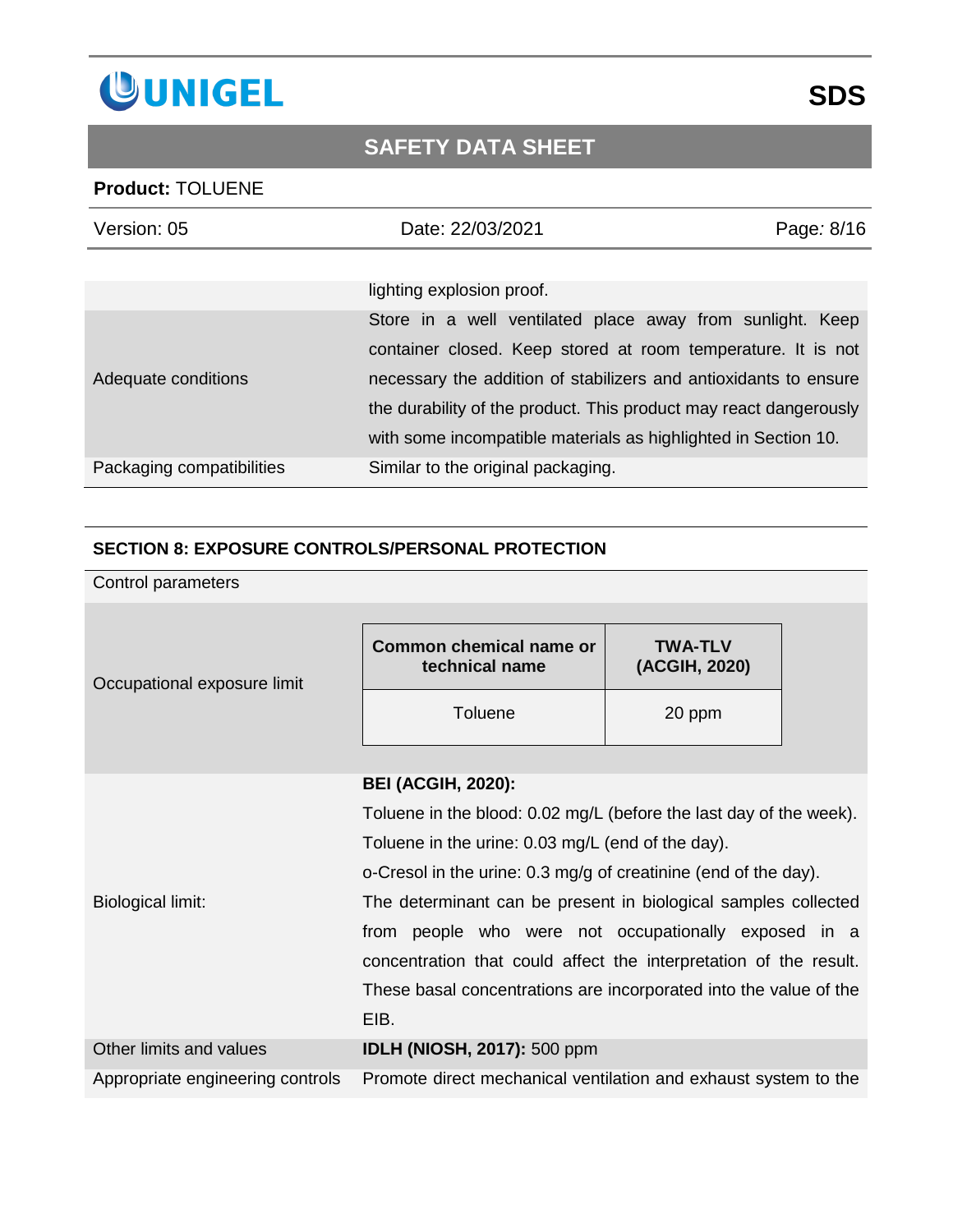

### **Product:** TOLUENE

| Version: 05               | Date: 22/03/2021                                                                                                                                                                                                                                                   | Page: 8/16 |
|---------------------------|--------------------------------------------------------------------------------------------------------------------------------------------------------------------------------------------------------------------------------------------------------------------|------------|
|                           | lighting explosion proof.                                                                                                                                                                                                                                          |            |
| Adequate conditions       | Store in a well ventilated place away from sunlight. Keep<br>container closed. Keep stored at room temperature. It is not<br>necessary the addition of stabilizers and antioxidants to ensure<br>the durability of the product. This product may react dangerously |            |
| Packaging compatibilities | with some incompatible materials as highlighted in Section 10.<br>Similar to the original packaging.                                                                                                                                                               |            |

### **SECTION 8: EXPOSURE CONTROLS/PERSONAL PROTECTION**

| Control parameters               |                                                                    |                                                                   |  |
|----------------------------------|--------------------------------------------------------------------|-------------------------------------------------------------------|--|
| Occupational exposure limit      | <b>Common chemical name or</b><br>technical name                   | <b>TWA-TLV</b><br>(ACGIH, 2020)                                   |  |
|                                  | <b>Toluene</b>                                                     | 20 ppm                                                            |  |
|                                  |                                                                    |                                                                   |  |
|                                  | <b>BEI (ACGIH, 2020):</b>                                          |                                                                   |  |
|                                  | Toluene in the blood: 0.02 mg/L (before the last day of the week). |                                                                   |  |
|                                  | Toluene in the urine: 0.03 mg/L (end of the day).                  |                                                                   |  |
|                                  | o-Cresol in the urine: 0.3 mg/g of creatinine (end of the day).    |                                                                   |  |
| <b>Biological limit:</b>         | The determinant can be present in biological samples collected     |                                                                   |  |
|                                  |                                                                    | from people who were not occupationally exposed in a              |  |
|                                  |                                                                    | concentration that could affect the interpretation of the result. |  |
|                                  |                                                                    | These basal concentrations are incorporated into the value of the |  |
|                                  | EIB.                                                               |                                                                   |  |
| Other limits and values          | <b>IDLH (NIOSH, 2017): 500 ppm</b>                                 |                                                                   |  |
| Appropriate engineering controls |                                                                    | Promote direct mechanical ventilation and exhaust system to the   |  |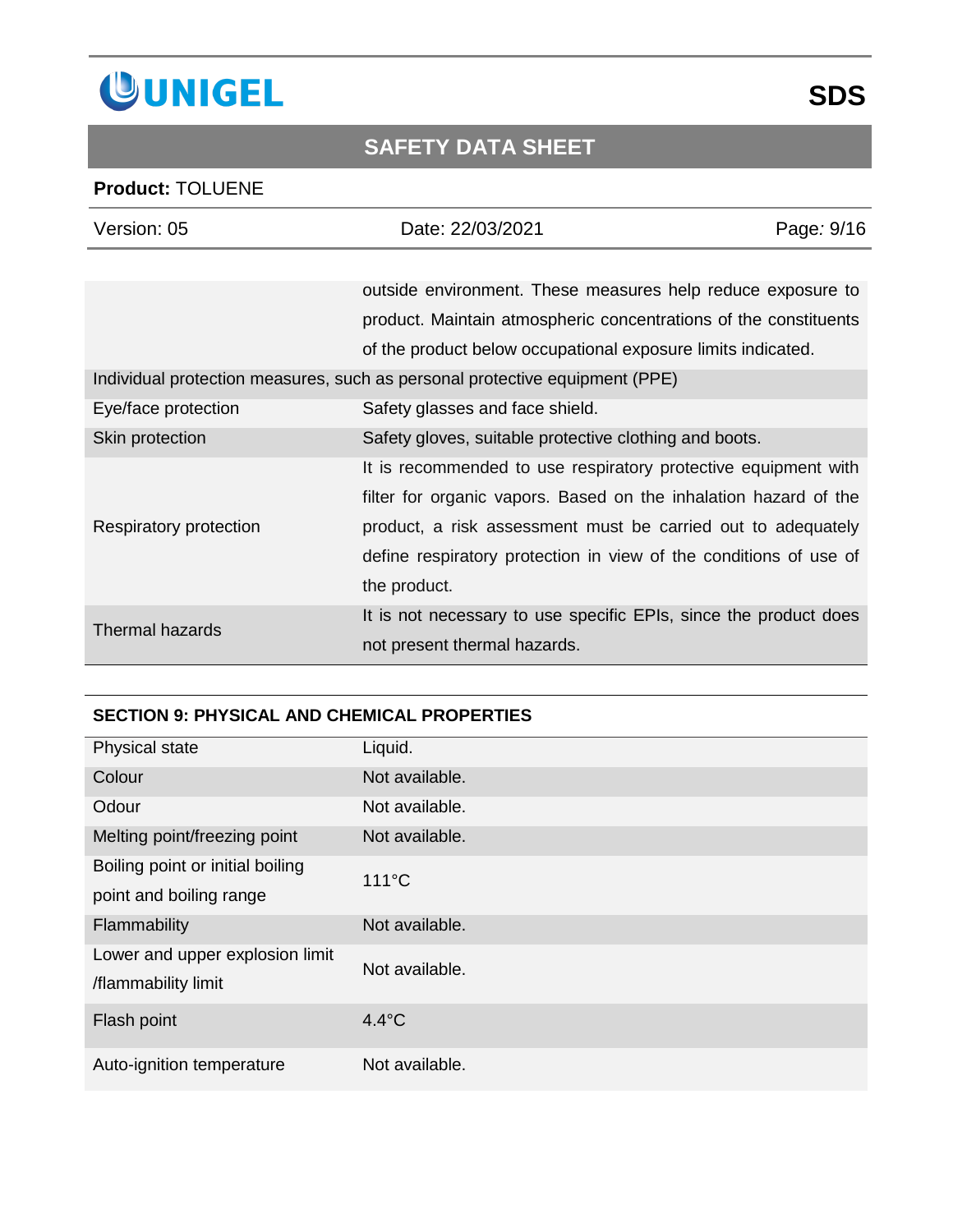

### **Product:** TOLUENE

| Version: 05            | Date: 22/03/2021                                                            | Page: 9/16 |
|------------------------|-----------------------------------------------------------------------------|------------|
|                        |                                                                             |            |
|                        | outside environment. These measures help reduce exposure to                 |            |
|                        | product. Maintain atmospheric concentrations of the constituents            |            |
|                        | of the product below occupational exposure limits indicated.                |            |
|                        | Individual protection measures, such as personal protective equipment (PPE) |            |
| Eye/face protection    | Safety glasses and face shield.                                             |            |
| Skin protection        | Safety gloves, suitable protective clothing and boots.                      |            |
|                        | It is recommended to use respiratory protective equipment with              |            |
|                        | filter for organic vapors. Based on the inhalation hazard of the            |            |
| Respiratory protection | product, a risk assessment must be carried out to adequately                |            |
|                        | define respiratory protection in view of the conditions of use of           |            |
|                        | the product.                                                                |            |
| <b>Thermal hazards</b> | It is not necessary to use specific EPIs, since the product does            |            |
|                        | not present thermal hazards.                                                |            |

### **SECTION 9: PHYSICAL AND CHEMICAL PROPERTIES**

| Physical state                   | Liquid.         |
|----------------------------------|-----------------|
| Colour                           | Not available.  |
| Odour                            | Not available.  |
| Melting point/freezing point     | Not available.  |
| Boiling point or initial boiling | $111^{\circ}$ C |
| point and boiling range          |                 |
| Flammability                     | Not available.  |
| Lower and upper explosion limit  | Not available.  |
| /flammability limit              |                 |
| Flash point                      | $4.4^{\circ}$ C |
| Auto-ignition temperature        | Not available.  |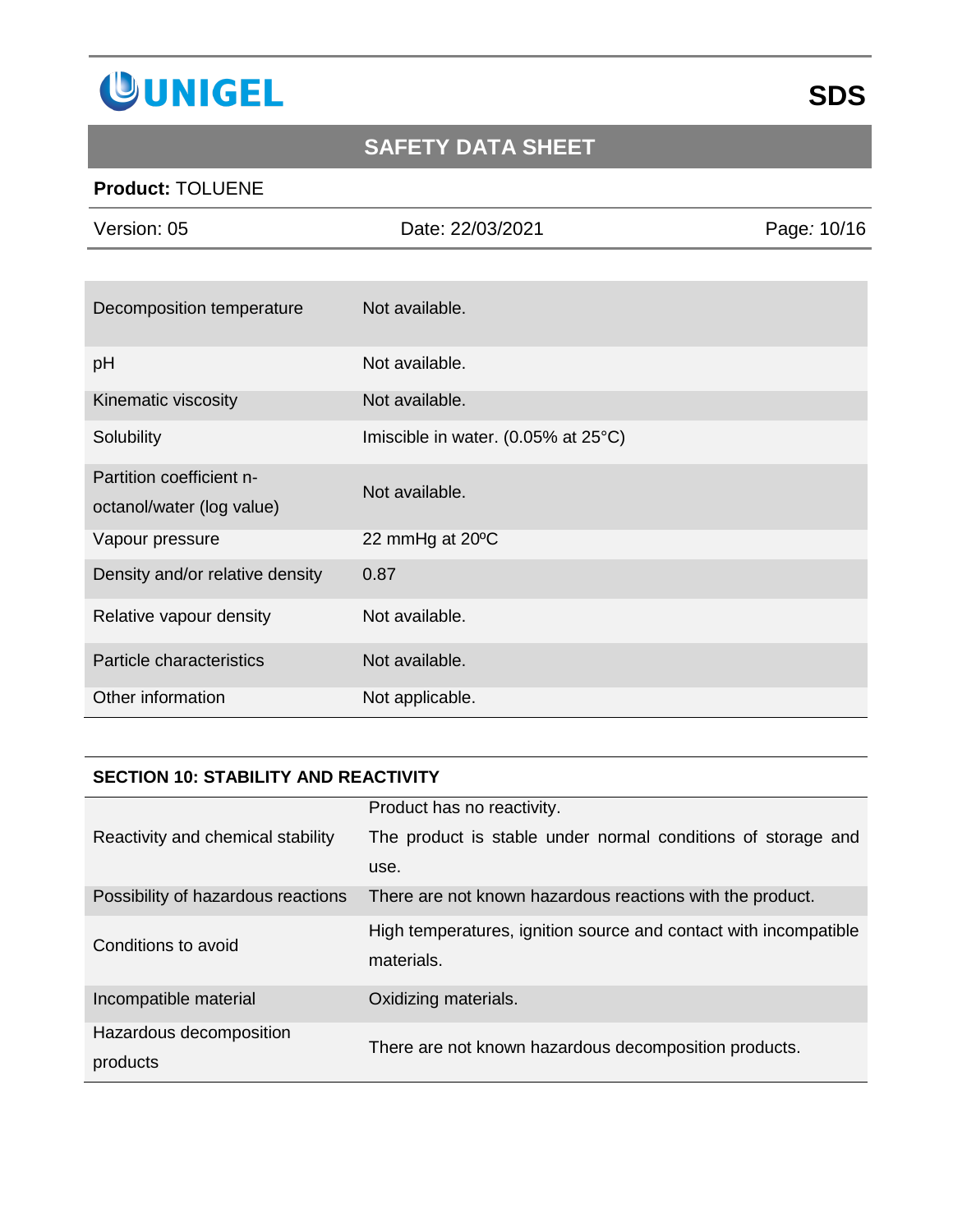

### **Product:** TOLUENE

| Version: 05                                           | Date: 22/03/2021                    | Page: 10/16 |
|-------------------------------------------------------|-------------------------------------|-------------|
|                                                       |                                     |             |
| Decomposition temperature                             | Not available.                      |             |
| pH                                                    | Not available.                      |             |
| Kinematic viscosity                                   | Not available.                      |             |
| Solubility                                            | Imiscible in water. (0.05% at 25°C) |             |
| Partition coefficient n-<br>octanol/water (log value) | Not available.                      |             |
| Vapour pressure                                       | 22 mmHg at 20°C                     |             |
| Density and/or relative density                       | 0.87                                |             |
| Relative vapour density                               | Not available.                      |             |
| Particle characteristics                              | Not available.                      |             |
| Other information                                     | Not applicable.                     |             |

#### **SECTION 10: STABILITY AND REACTIVITY**

|                                     | Product has no reactivity.                                                     |
|-------------------------------------|--------------------------------------------------------------------------------|
| Reactivity and chemical stability   | The product is stable under normal conditions of storage and                   |
|                                     | use.                                                                           |
| Possibility of hazardous reactions  | There are not known hazardous reactions with the product.                      |
| Conditions to avoid                 | High temperatures, ignition source and contact with incompatible<br>materials. |
| Incompatible material               | Oxidizing materials.                                                           |
| Hazardous decomposition<br>products | There are not known hazardous decomposition products.                          |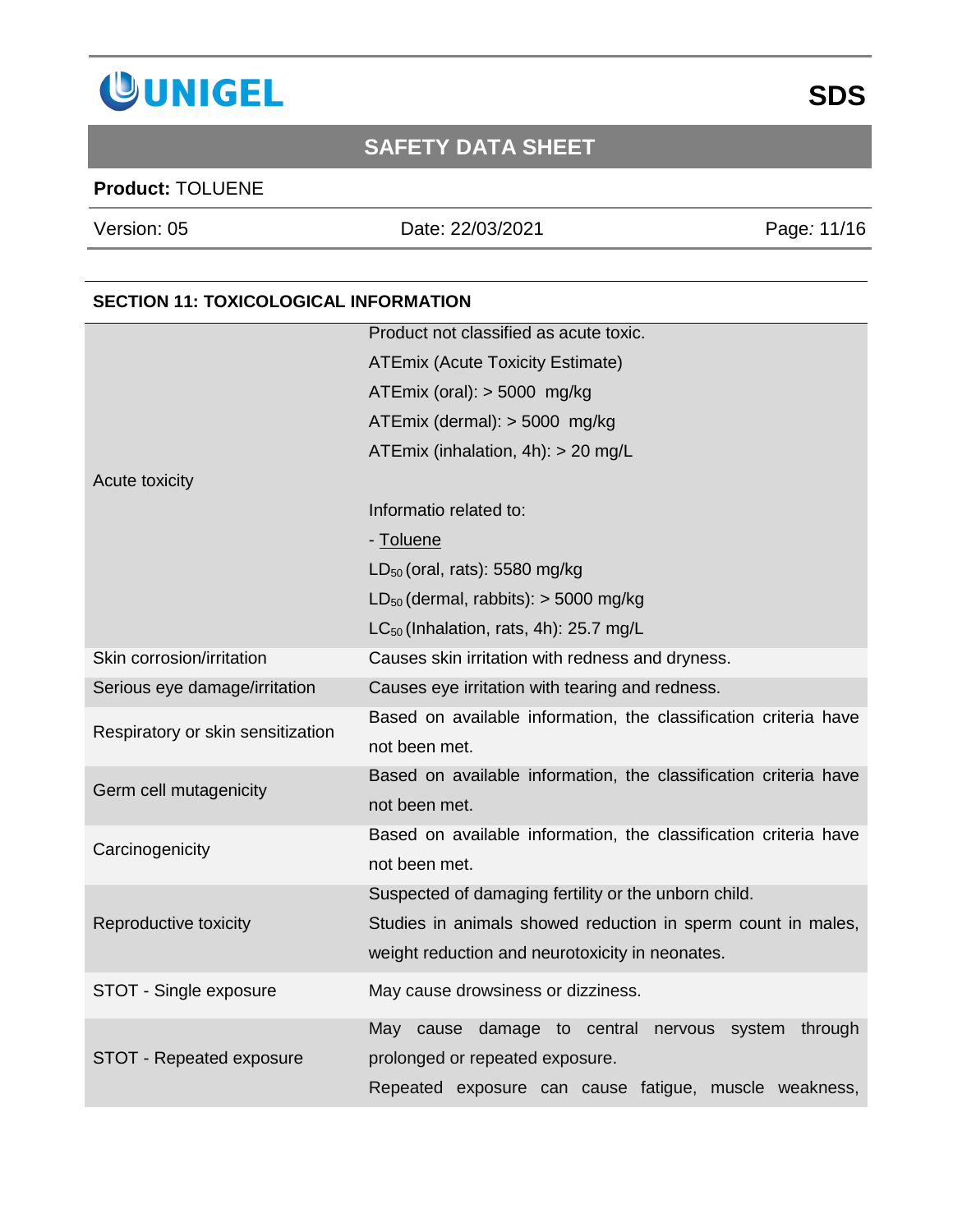

### **Product:** TOLUENE

Version: 05 Date: 22/03/2021 Page*:* 11/16

### **SECTION 11: TOXICOLOGICAL INFORMATION**

|                                   | Product not classified as acute toxic.                           |
|-----------------------------------|------------------------------------------------------------------|
|                                   | <b>ATEmix (Acute Toxicity Estimate)</b>                          |
|                                   | ATEmix (oral): $>$ 5000 mg/kg                                    |
|                                   | ATEmix (dermal): $>$ 5000 mg/kg                                  |
|                                   | ATEmix (inhalation, 4h): > 20 mg/L                               |
| Acute toxicity                    |                                                                  |
|                                   | Informatio related to:                                           |
|                                   | - Toluene                                                        |
|                                   | LD <sub>50</sub> (oral, rats): 5580 mg/kg                        |
|                                   | $LD_{50}$ (dermal, rabbits): $>$ 5000 mg/kg                      |
|                                   | $LC_{50}$ (Inhalation, rats, 4h): 25.7 mg/L                      |
| Skin corrosion/irritation         | Causes skin irritation with redness and dryness.                 |
| Serious eye damage/irritation     | Causes eye irritation with tearing and redness.                  |
| Respiratory or skin sensitization | Based on available information, the classification criteria have |
|                                   | not been met.                                                    |
| Germ cell mutagenicity            | Based on available information, the classification criteria have |
|                                   | not been met.                                                    |
| Carcinogenicity                   | Based on available information, the classification criteria have |
|                                   | not been met.                                                    |
|                                   | Suspected of damaging fertility or the unborn child.             |
| Reproductive toxicity             | Studies in animals showed reduction in sperm count in males,     |
|                                   | weight reduction and neurotoxicity in neonates.                  |
| STOT - Single exposure            | May cause drowsiness or dizziness.                               |
|                                   | May cause damage to central nervous system through               |
| STOT - Repeated exposure          | prolonged or repeated exposure.                                  |
|                                   | Repeated exposure can cause fatigue, muscle weakness,            |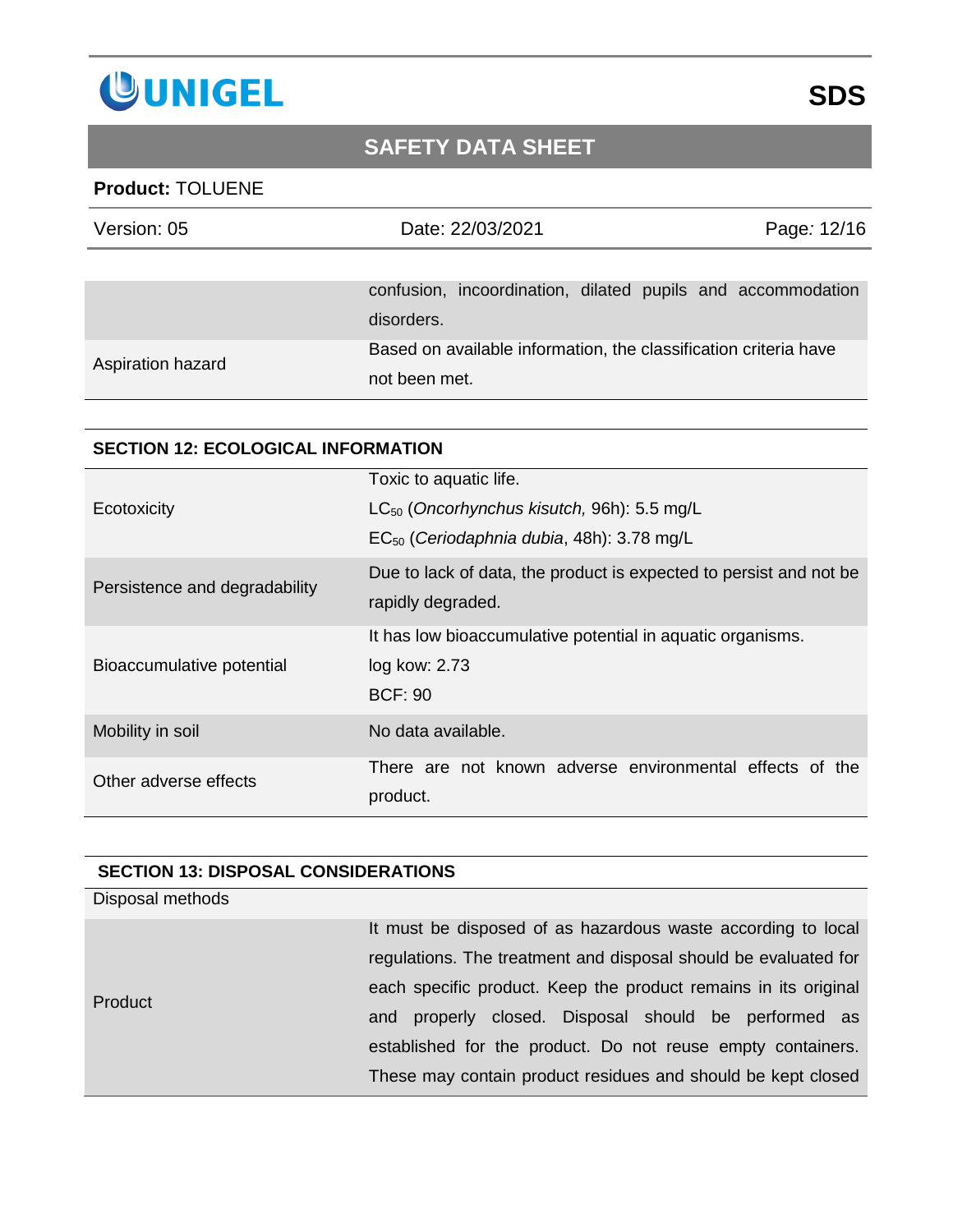

### **Product:** TOLUENE

| Version: 05       | Date: 22/03/2021                                                 | Page: 12/16 |
|-------------------|------------------------------------------------------------------|-------------|
|                   |                                                                  |             |
|                   | confusion, incoordination, dilated pupils and accommodation      |             |
|                   | disorders.                                                       |             |
| Aspiration hazard | Based on available information, the classification criteria have |             |
|                   | not been met.                                                    |             |

#### **SECTION 12: ECOLOGICAL INFORMATION**

|                               | Toxic to aquatic life.                                                                  |
|-------------------------------|-----------------------------------------------------------------------------------------|
| Ecotoxicity                   | $LC_{50}$ (Oncorhynchus kisutch, 96h): 5.5 mg/L                                         |
|                               | EC <sub>50</sub> (Ceriodaphnia dubia, 48h): 3.78 mg/L                                   |
| Persistence and degradability | Due to lack of data, the product is expected to persist and not be<br>rapidly degraded. |
|                               | It has low bioaccumulative potential in aquatic organisms.                              |
| Bioaccumulative potential     | log kow: 2.73                                                                           |
|                               | <b>BCF: 90</b>                                                                          |
| Mobility in soil              | No data available.                                                                      |
| Other adverse effects         | There are not known adverse environmental effects of the                                |
|                               | product.                                                                                |

#### **SECTION 13: DISPOSAL CONSIDERATIONS**

| It must be disposed of as hazardous waste according to local    |
|-----------------------------------------------------------------|
| regulations. The treatment and disposal should be evaluated for |
| each specific product. Keep the product remains in its original |
| properly closed. Disposal should be performed as<br>and         |
| established for the product. Do not reuse empty containers.     |
| These may contain product residues and should be kept closed    |
|                                                                 |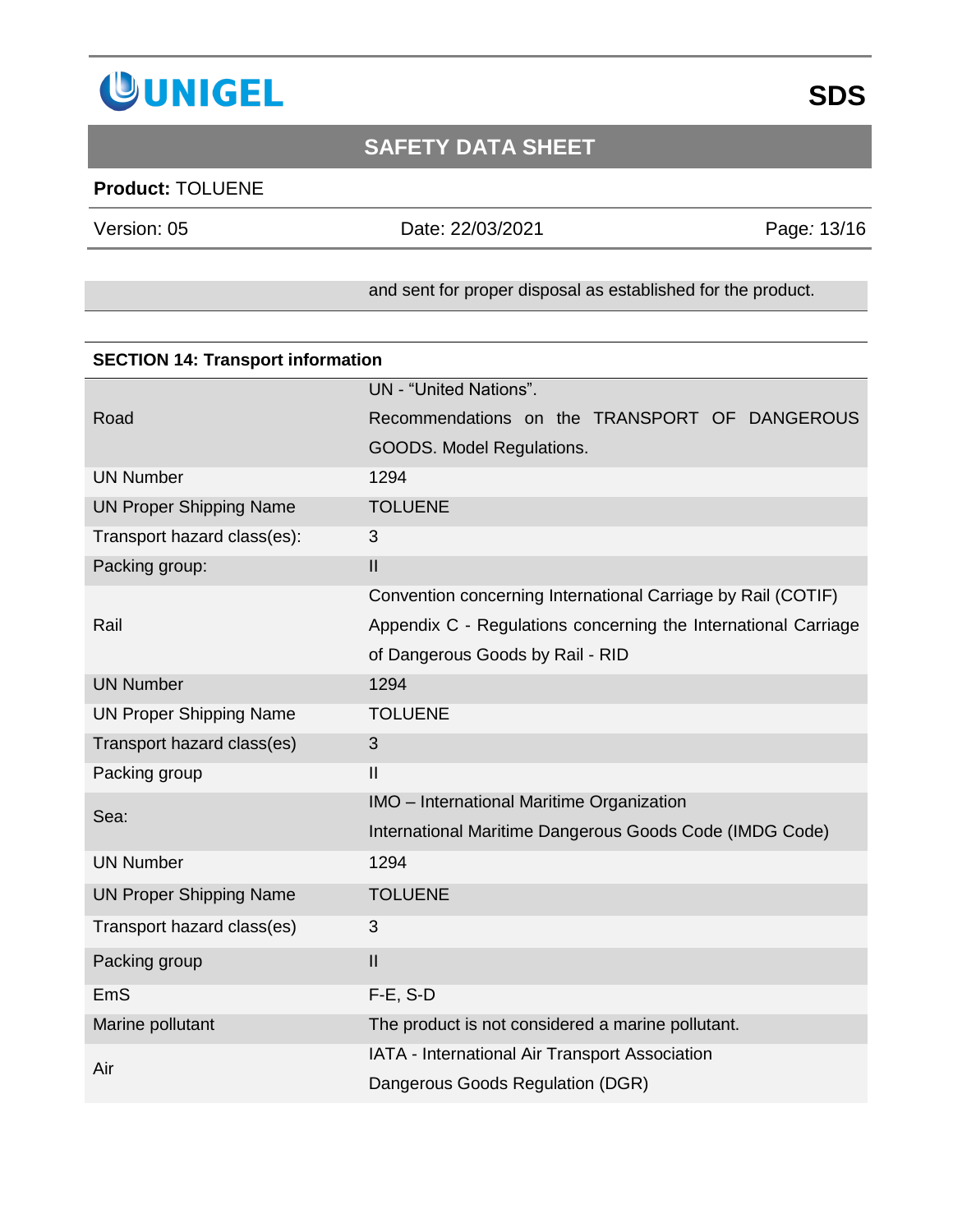

### **Product:** TOLUENE

Version: 05 Date: 22/03/2021 Page*:* 13/16

#### and sent for proper disposal as established for the product.

| <b>SECTION 14: Transport information</b> |                                                                |  |
|------------------------------------------|----------------------------------------------------------------|--|
|                                          | UN - "United Nations".                                         |  |
| Road                                     | Recommendations on the TRANSPORT OF DANGEROUS                  |  |
|                                          | GOODS. Model Regulations.                                      |  |
| <b>UN Number</b>                         | 1294                                                           |  |
| <b>UN Proper Shipping Name</b>           | <b>TOLUENE</b>                                                 |  |
| Transport hazard class(es):              | 3                                                              |  |
| Packing group:                           | $\mathbf{II}$                                                  |  |
|                                          | Convention concerning International Carriage by Rail (COTIF)   |  |
| Rail                                     | Appendix C - Regulations concerning the International Carriage |  |
|                                          | of Dangerous Goods by Rail - RID                               |  |
| <b>UN Number</b>                         | 1294                                                           |  |
| <b>UN Proper Shipping Name</b>           | <b>TOLUENE</b>                                                 |  |
| Transport hazard class(es)               | 3                                                              |  |
| Packing group                            | $\mathbf{I}$                                                   |  |
| Sea:                                     | IMO - International Maritime Organization                      |  |
|                                          | International Maritime Dangerous Goods Code (IMDG Code)        |  |
| <b>UN Number</b>                         | 1294                                                           |  |
| <b>UN Proper Shipping Name</b>           | <b>TOLUENE</b>                                                 |  |
| Transport hazard class(es)               | 3                                                              |  |
| Packing group                            | $\mathbf{I}$                                                   |  |
| EmS                                      | $F-E$ , S-D                                                    |  |
| Marine pollutant                         | The product is not considered a marine pollutant.              |  |
| Air                                      | IATA - International Air Transport Association                 |  |
|                                          | Dangerous Goods Regulation (DGR)                               |  |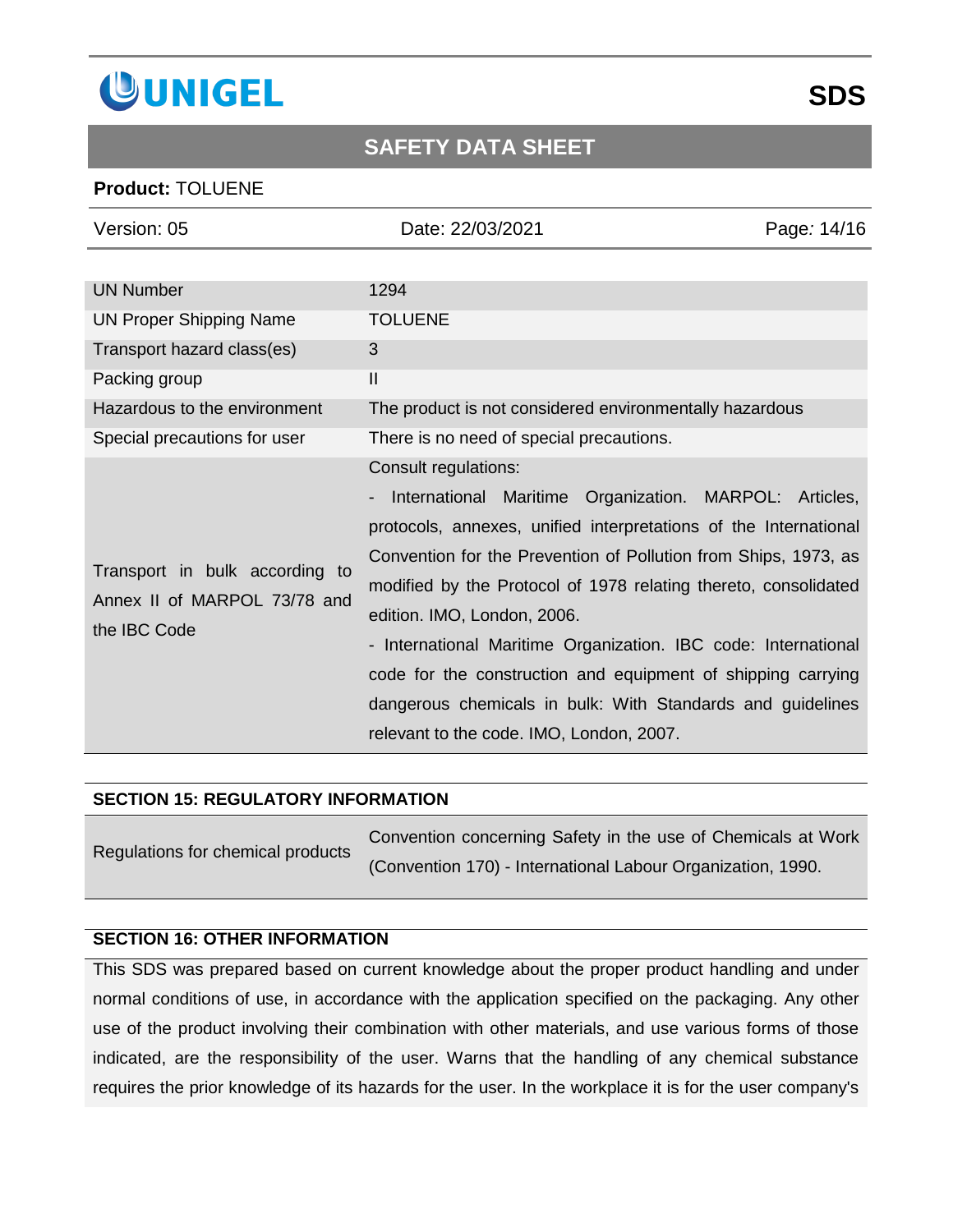

#### **Product:** TOLUENE

| Version: 05                                                                    | Date: 22/03/2021                                                                                                                                                                                                                                                                                                                                                                                                                                                                                                                                                    | Page: 14/16 |
|--------------------------------------------------------------------------------|---------------------------------------------------------------------------------------------------------------------------------------------------------------------------------------------------------------------------------------------------------------------------------------------------------------------------------------------------------------------------------------------------------------------------------------------------------------------------------------------------------------------------------------------------------------------|-------------|
|                                                                                |                                                                                                                                                                                                                                                                                                                                                                                                                                                                                                                                                                     |             |
| <b>UN Number</b>                                                               | 1294                                                                                                                                                                                                                                                                                                                                                                                                                                                                                                                                                                |             |
| <b>UN Proper Shipping Name</b>                                                 | <b>TOLUENE</b>                                                                                                                                                                                                                                                                                                                                                                                                                                                                                                                                                      |             |
| Transport hazard class(es)                                                     | 3                                                                                                                                                                                                                                                                                                                                                                                                                                                                                                                                                                   |             |
| Packing group                                                                  | $\mathbf{I}$                                                                                                                                                                                                                                                                                                                                                                                                                                                                                                                                                        |             |
| Hazardous to the environment                                                   | The product is not considered environmentally hazardous                                                                                                                                                                                                                                                                                                                                                                                                                                                                                                             |             |
| Special precautions for user                                                   | There is no need of special precautions.                                                                                                                                                                                                                                                                                                                                                                                                                                                                                                                            |             |
| Transport in bulk according to<br>Annex II of MARPOL 73/78 and<br>the IBC Code | Consult regulations:<br>International Maritime Organization. MARPOL: Articles,<br>protocols, annexes, unified interpretations of the International<br>Convention for the Prevention of Pollution from Ships, 1973, as<br>modified by the Protocol of 1978 relating thereto, consolidated<br>edition. IMO, London, 2006.<br>- International Maritime Organization. IBC code: International<br>code for the construction and equipment of shipping carrying<br>dangerous chemicals in bulk: With Standards and guidelines<br>relevant to the code. IMO, London, 2007. |             |

#### **SECTION 15: REGULATORY INFORMATION**

| Regulations for chemical products | Convention concerning Safety in the use of Chemicals at Work |
|-----------------------------------|--------------------------------------------------------------|
|                                   | (Convention 170) - International Labour Organization, 1990.  |

#### **SECTION 16: OTHER INFORMATION**

This SDS was prepared based on current knowledge about the proper product handling and under normal conditions of use, in accordance with the application specified on the packaging. Any other use of the product involving their combination with other materials, and use various forms of those indicated, are the responsibility of the user. Warns that the handling of any chemical substance requires the prior knowledge of its hazards for the user. In the workplace it is for the user company's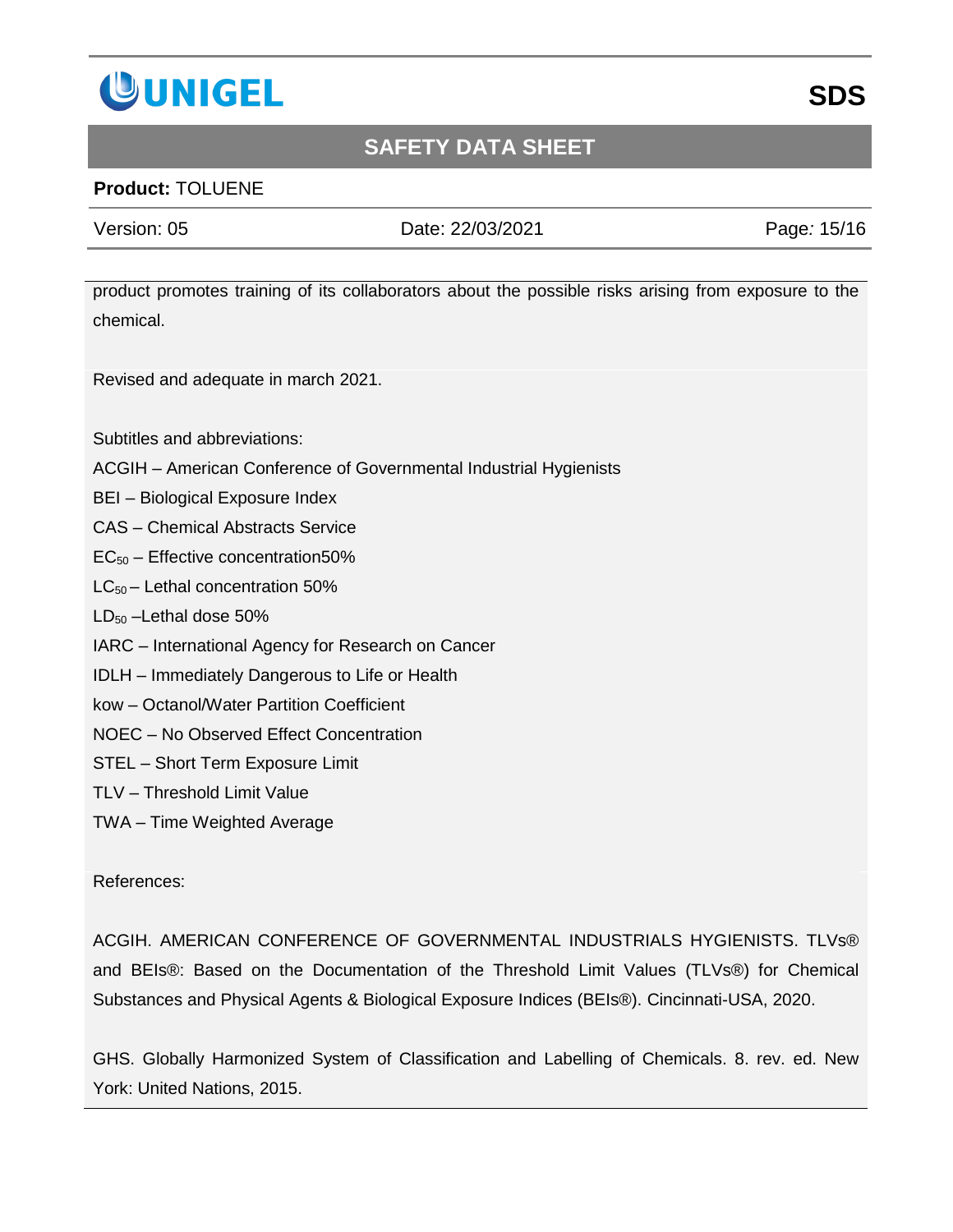

### **Product:** TOLUENE

Version: 05 Date: 22/03/2021 Page*:* 15/16

product promotes training of its collaborators about the possible risks arising from exposure to the chemical.

Revised and adequate in march 2021.

Subtitles and abbreviations:

- ACGIH American Conference of Governmental Industrial Hygienists
- BEI Biological Exposure Index
- CAS Chemical Abstracts Service
- $EC_{50}$  Effective concentration50%
- LC50 Lethal concentration 50%
- $LD_{50}$  –Lethal dose 50%
- IARC International Agency for Research on Cancer
- IDLH Immediately Dangerous to Life or Health
- kow Octanol/Water Partition Coefficient
- NOEC No Observed Effect Concentration
- STEL Short Term Exposure Limit
- TLV Threshold Limit Value
- TWA Time Weighted Average

#### References:

ACGIH. AMERICAN CONFERENCE OF GOVERNMENTAL INDUSTRIALS HYGIENISTS. TLVs® and BEIs®: Based on the Documentation of the Threshold Limit Values (TLVs®) for Chemical Substances and Physical Agents & Biological Exposure Indices (BEIs®). Cincinnati-USA, 2020.

GHS. Globally Harmonized System of Classification and Labelling of Chemicals. 8. rev. ed. New York: United Nations, 2015.